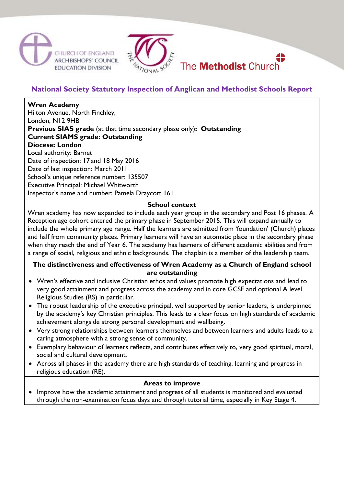



## **National Society Statutory Inspection of Anglican and Methodist Schools Report**

# **Wren Academy**

Hilton Avenue, North Finchley, London, N12 9HB **Previous SIAS grade** (at that time secondary phase only)**: Outstanding Current SIAMS grade: Outstanding Diocese: London** Local authority: Barnet Date of inspection: 17 and 18 May 2016 Date of last inspection: March 2011 School's unique reference number: 135507 Executive Principal: Michael Whitworth

Inspector's name and number: Pamela Draycott 161

#### **School context**

Wren academy has now expanded to include each year group in the secondary and Post 16 phases. A Reception age cohort entered the primary phase in September 2015. This will expand annually to include the whole primary age range. Half the learners are admitted from 'foundation' (Church) places and half from community places. Primary learners will have an automatic place in the secondary phase when they reach the end of Year 6. The academy has learners of different academic abilities and from a range of social, religious and ethnic backgrounds. The chaplain is a member of the leadership team.

#### **The distinctiveness and effectiveness of Wren Academy as a Church of England school are outstanding**

- Wren's effective and inclusive Christian ethos and values promote high expectations and lead to very good attainment and progress across the academy and in core GCSE and optional A level Religious Studies (RS) in particular.
- The robust leadership of the executive principal, well supported by senior leaders, is underpinned by the academy's key Christian principles. This leads to a clear focus on high standards of academic achievement alongside strong personal development and wellbeing.
- Very strong relationships between learners themselves and between learners and adults leads to a caring atmosphere with a strong sense of community.
- Exemplary behaviour of learners reflects, and contributes effectively to, very good spiritual, moral, social and cultural development.
- Across all phases in the academy there are high standards of teaching, learning and progress in religious education (RE).

#### **Areas to improve**

• Improve how the academic attainment and progress of all students is monitored and evaluated through the non-examination focus days and through tutorial time, especially in Key Stage 4.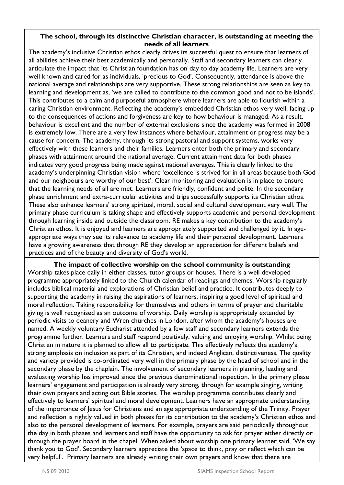#### **The school, through its distinctive Christian character, is outstanding at meeting the needs of all learners**

The academy's inclusive Christian ethos clearly drives its successful quest to ensure that learners of all abilities achieve their best academically and personally. Staff and secondary learners can clearly articulate the impact that its Christian foundation has on day to day academy life. Learners are very well known and cared for as individuals, 'precious to God'. Consequently, attendance is above the national average and relationships are very supportive. These strong relationships are seen as key to learning and development as, 'we are called to contribute to the common good and not to be islands'. This contributes to a calm and purposeful atmosphere where learners are able to flourish within a caring Christian environment. Reflecting the academy's embedded Christian ethos very well, facing up to the consequences of actions and forgiveness are key to how behaviour is managed. As a result, behaviour is excellent and the number of external exclusions since the academy was formed in 2008 is extremely low. There are a very few instances where behaviour, attainment or progress may be a cause for concern. The academy, through its strong pastoral and support systems, works very effectively with these learners and their families. Learners enter both the primary and secondary phases with attainment around the national average. Current attainment data for both phases indicates very good progress being made against national averages. This is clearly linked to the academy's underpinning Christian vision where 'excellence is strived for in all areas because both God and our neighbours are worthy of our best'. Clear monitoring and evaluation is in place to ensure that the learning needs of all are met. Learners are friendly, confident and polite. In the secondary phase enrichment and extra-curricular activities and trips successfully supports its Christian ethos. These also enhance learners' strong spiritual, moral, social and cultural development very well. The primary phase curriculum is taking shape and effectively supports academic and personal development through learning inside and outside the classroom. RE makes a key contribution to the academy's Christian ethos. It is enjoyed and learners are appropriately supported and challenged by it. In ageappropriate ways they see its relevance to academy life and their personal development. Learners have a growing awareness that through RE they develop an appreciation for different beliefs and practices and of the beauty and diversity of God's world.

**The impact of collective worship on the school community is outstanding** Worship takes place daily in either classes, tutor groups or houses. There is a well developed programme appropriately linked to the Church calendar of readings and themes. Worship regularly includes biblical material and explorations of Christian belief and practice. It contributes deeply to supporting the academy in raising the aspirations of learners, inspiring a good level of spiritual and moral reflection. Taking responsibility for themselves and others in terms of prayer and charitable giving is well recognised as an outcome of worship. Daily worship is appropriately extended by periodic visits to deanery and Wren churches in London, after whom the academy's houses are named. A weekly voluntary Eucharist attended by a few staff and secondary learners extends the programme further. Learners and staff respond positively, valuing and enjoying worship. Whilst being Christian in nature it is planned to allow all to participate. This effectively reflects the academy's strong emphasis on inclusion as part of its Christian, and indeed Anglican, distinctiveness. The quality and variety provided is co-ordinated very well in the primary phase by the head of school and in the secondary phase by the chaplain. The involvement of secondary learners in planning, leading and evaluating worship has improved since the previous denominational inspection. In the primary phase learners' engagement and participation is already very strong, through for example singing, writing their own prayers and acting out Bible stories. The worship programme contributes clearly and effectively to learners' spiritual and moral development. Learners have an appropriate understanding of the importance of Jesus for Christians and an age appropriate understanding of the Trinity. Prayer and reflection is rightly valued in both phases for its contribution to the academy's Christian ethos and also to the personal development of learners. For example, prayers are said periodically throughout the day in both phases and learners and staff have the opportunity to ask for prayer either directly or through the prayer board in the chapel. When asked about worship one primary learner said, 'We say thank you to God'. Secondary learners appreciate the 'space to think, pray or reflect which can be very helpful'. Primary learners are already writing their own prayers and know that there are